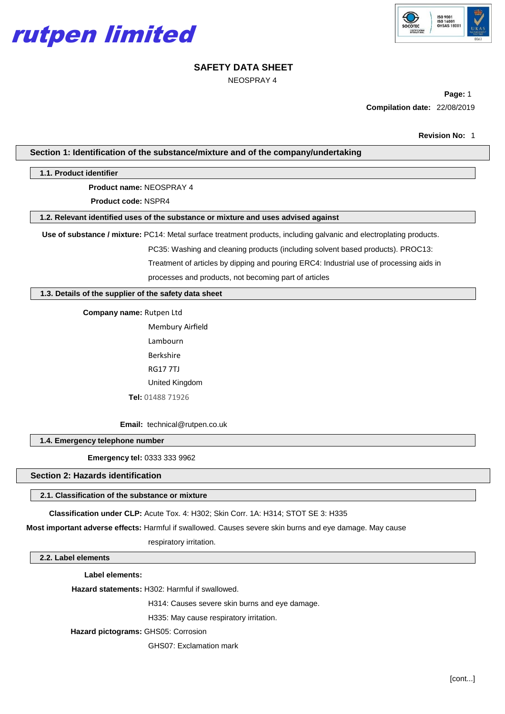



NEOSPRAY 4

**Page:** 1 **Compilation date:** 22/08/2019

## **Section 1: Identification of the substance/mixture and of the company/undertaking**

## **1.1. Product identifier**

**Product name:** NEOSPRAY 4

**Product code:** NSPR4

## **1.2. Relevant identified uses of the substance or mixture and uses advised against**

**Use of substance / mixture:** PC14: Metal surface treatment products, including galvanic and electroplating products.

PC35: Washing and cleaning products (including solvent based products). PROC13: Treatment of articles by dipping and pouring ERC4: Industrial use of processing aids in processes and products, not becoming part of articles

**1.3. Details of the supplier of the safety data sheet**

**Company name:** Rutpen Ltd

Membury Airfield Lambourn Berkshire RG17 7TJ United Kingdom **Tel:** 01488 71926

**Email:** [technical@rutpen.co.uk](mailto:enquiries@walsall-chemical.co.uk)

**1.4. Emergency telephone number**

**Emergency tel:** 0333 333 9962

### **Section 2: Hazards identification**

## **2.1. Classification of the substance or mixture**

**Classification under CLP:** Acute Tox. 4: H302; Skin Corr. 1A: H314; STOT SE 3: H335

**Most important adverse effects:** Harmful if swallowed. Causes severe skin burns and eye damage. May cause

respiratory irritation.

## **2.2. Label elements**

**Label elements:**

**Hazard statements:** H302: Harmful if swallowed.

H314: Causes severe skin burns and eye damage.

H335: May cause respiratory irritation.

**Hazard pictograms:** GHS05: Corrosion

GHS07: Exclamation mark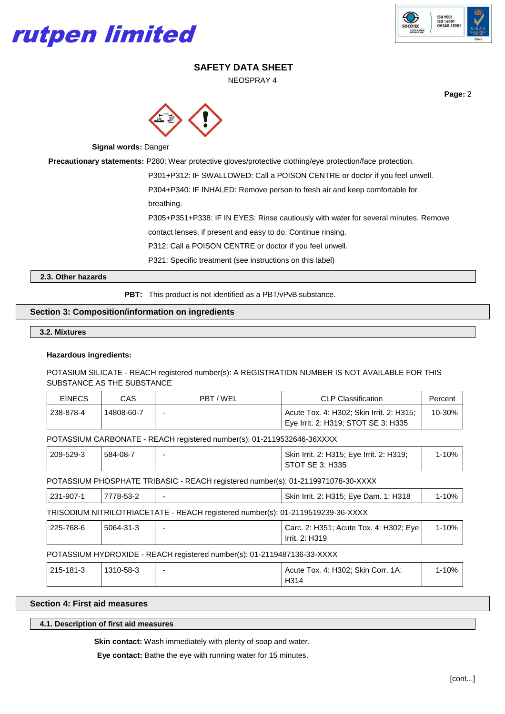



NEOSPRAY 4

**Page:** 2



**Signal words:** Danger

**Precautionary statements:** P280: Wear protective gloves/protective clothing/eye protection/face protection.

P301+P312: IF SWALLOWED: Call a POISON CENTRE or doctor if you feel unwell.

P304+P340: IF INHALED: Remove person to fresh air and keep comfortable for

breathing.

P305+P351+P338: IF IN EYES: Rinse cautiously with water for several minutes. Remove

contact lenses, if present and easy to do. Continue rinsing.

P312: Call a POISON CENTRE or doctor if you feel unwell.

P321: Specific treatment (see instructions on this label)

**2.3. Other hazards**

**PBT:** This product is not identified as a PBT/vPvB substance.

## **Section 3: Composition/information on ingredients**

**3.2. Mixtures**

### **Hazardous ingredients:**

## POTASIUM SILICATE - REACH registered number(s): A REGISTRATION NUMBER IS NOT AVAILABLE FOR THIS SUBSTANCE AS THE SUBSTANCE

| <b>EINECS</b> | CAS.       | PBT/WEL | <b>CLP Classification</b>                 | Percent |
|---------------|------------|---------|-------------------------------------------|---------|
| 238-878-4     | 14808-60-7 |         | LAcute Tox. 4: H302; Skin Irrit. 2: H315; | 10-30%  |
|               |            |         | Eye Irrit. 2: H319; STOT SE 3: H335       |         |

POTASSIUM CARBONATE - REACH registered number(s): 01-2119532646-36XXXX

| 209-529-3 | 584-08-7 | Skin Irrit. 2: H315; Eye Irrit. 2: H319; | 10% |
|-----------|----------|------------------------------------------|-----|
|           |          | STOT SE 3: H335                          |     |

POTASSIUM PHOSPHATE TRIBASIC - REACH registered number(s): 01-2119971078-30-XXXX

| 231-907-1 | 7778-53-2 | Skin Irrit. 2: H315; Eye Dam. 1: H318 | l-10% |
|-----------|-----------|---------------------------------------|-------|
|           |           |                                       |       |

TRISODIUM NITRILOTRIACETATE - REACH registered number(s): 01-2119519239-36-XXXX

| 225-768-6 | 5064-31-3 | Carc. 2: H351; Acute Tox. 4: H302; Eye | 1-10% |
|-----------|-----------|----------------------------------------|-------|
|           |           | Irrit. 2: H319                         |       |

## POTASSIUM HYDROXIDE - REACH registered number(s): 01-2119487136-33-XXXX

| 215-181-3 | 1310-58-3 | $\overline{\phantom{0}}$ | Acute Tox. 4: H302; Skin Corr. 1A: | $1 - 10%$ |  |
|-----------|-----------|--------------------------|------------------------------------|-----------|--|
|           |           |                          | H314                               |           |  |

## **Section 4: First aid measures**

**4.1. Description of first aid measures**

**Skin contact:** Wash immediately with plenty of soap and water.

**Eye contact:** Bathe the eye with running water for 15 minutes.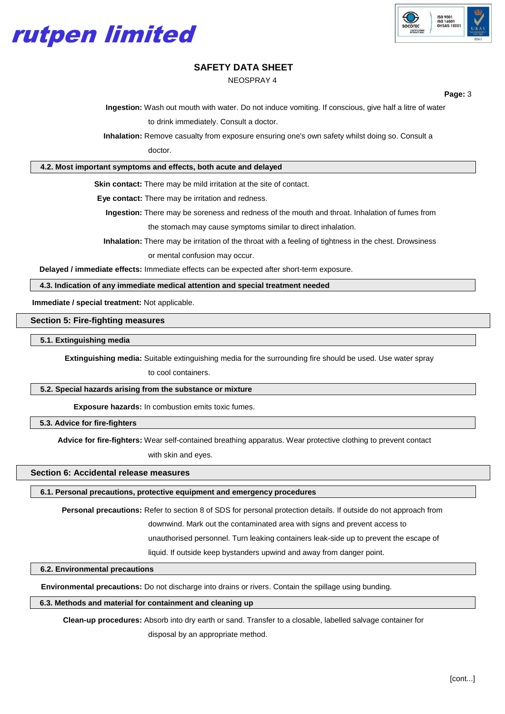



NEOSPRAY 4

**Page:** 3

**Ingestion:** Wash out mouth with water. Do not induce vomiting. If conscious, give half a litre of water

to drink immediately. Consult a doctor.

**Inhalation:** Remove casualty from exposure ensuring one's own safety whilst doing so. Consult a

doctor.

### **4.2. Most important symptoms and effects, both acute and delayed**

**Skin contact:** There may be mild irritation at the site of contact.

**Eye contact:** There may be irritation and redness.

**Ingestion:** There may be soreness and redness of the mouth and throat. Inhalation of fumes from the stomach may cause symptoms similar to direct inhalation.

**Inhalation:** There may be irritation of the throat with a feeling of tightness in the chest. Drowsiness or mental confusion may occur.

**Delayed / immediate effects:** Immediate effects can be expected after short-term exposure.

**4.3. Indication of any immediate medical attention and special treatment needed**

**Immediate / special treatment:** Not applicable.

**Section 5: Fire-fighting measures**

**5.1. Extinguishing media**

**Extinguishing media:** Suitable extinguishing media for the surrounding fire should be used. Use water spray

to cool containers.

#### **5.2. Special hazards arising from the substance or mixture**

**Exposure hazards:** In combustion emits toxic fumes.

**5.3. Advice for fire-fighters**

**Advice for fire-fighters:** Wear self-contained breathing apparatus. Wear protective clothing to prevent contact

with skin and eyes.

# **Section 6: Accidental release measures**

**6.1. Personal precautions, protective equipment and emergency procedures**

**Personal precautions:** Refer to section 8 of SDS for personal protection details. If outside do not approach from

downwind. Mark out the contaminated area with signs and prevent access to

unauthorised personnel. Turn leaking containers leak-side up to prevent the escape of

liquid. If outside keep bystanders upwind and away from danger point.

## **6.2. Environmental precautions**

**Environmental precautions:** Do not discharge into drains or rivers. Contain the spillage using bunding.

#### **6.3. Methods and material for containment and cleaning up**

**Clean-up procedures:** Absorb into dry earth or sand. Transfer to a closable, labelled salvage container for

disposal by an appropriate method.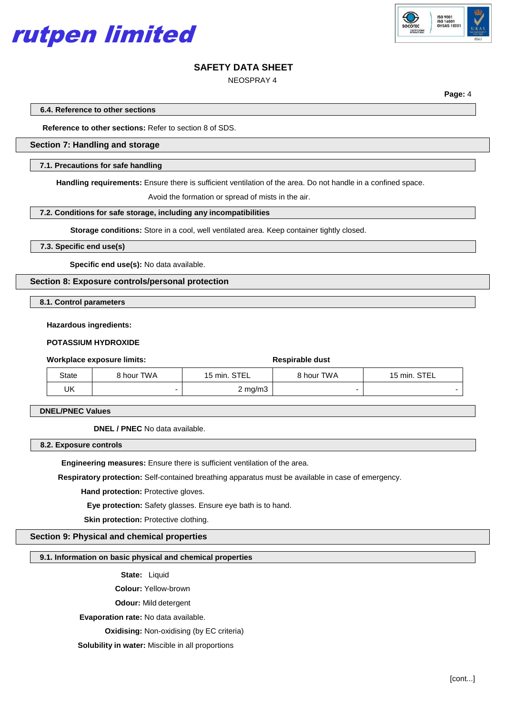



NEOSPRAY 4

**Page:** 4

**6.4. Reference to other sections**

**Reference to other sections:** Refer to section 8 of SDS.

## **Section 7: Handling and storage**

## **7.1. Precautions for safe handling**

**Handling requirements:** Ensure there is sufficient ventilation of the area. Do not handle in a confined space.

Avoid the formation or spread of mists in the air.

#### **7.2. Conditions for safe storage, including any incompatibilities**

**Storage conditions:** Store in a cool, well ventilated area. Keep container tightly closed.

## **7.3. Specific end use(s)**

**Specific end use(s):** No data available.

**Section 8: Exposure controls/personal protection**

**8.1. Control parameters**

#### **Hazardous ingredients:**

## **POTASSIUM HYDROXIDE**

## **Workplace exposure limits: Respirable dust Respirable dust**

| State | 8 hour TWA | 15 min. STEL     | 8 hour TWA | 15 min. STEL |
|-------|------------|------------------|------------|--------------|
| UK    |            | $2 \text{ mg/m}$ |            |              |

**DNEL/PNEC Values**

**DNEL / PNEC** No data available.

**8.2. Exposure controls**

**Engineering measures:** Ensure there is sufficient ventilation of the area.

**Respiratory protection:** Self-contained breathing apparatus must be available in case of emergency.

**Hand protection: Protective gloves.** 

**Eye protection:** Safety glasses. Ensure eye bath is to hand.

**Skin protection: Protective clothing.** 

## **Section 9: Physical and chemical properties**

## **9.1. Information on basic physical and chemical properties**

**State:** Liquid

**Colour:** Yellow-brown

**Odour:** Mild detergent

**Evaporation rate:** No data available.

**Oxidising: Non-oxidising (by EC criteria)** 

**Solubility in water:** Miscible in all proportions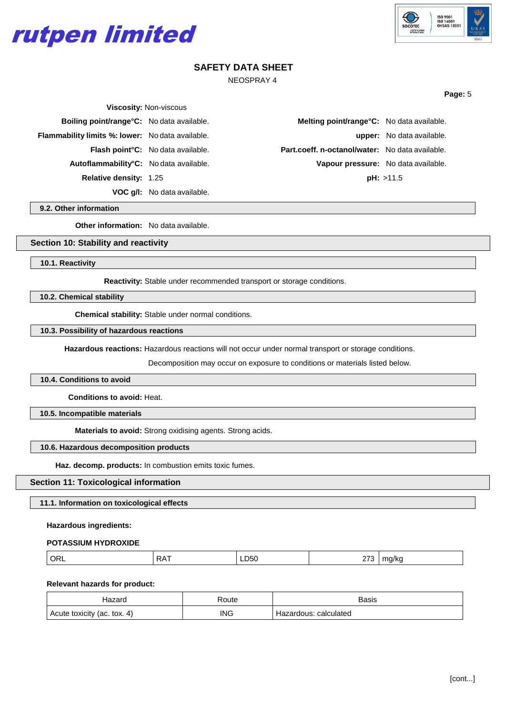



**Page:** 5

# **SAFETY DATA SHEET**

NEOSPRAY 4

| <b>Viscosity: Non-viscous</b>                           |                                                |                                                        |                                  |
|---------------------------------------------------------|------------------------------------------------|--------------------------------------------------------|----------------------------------|
| <b>Boiling point/range °C:</b> No data available.       |                                                | Melting point/range°C: No data available.              |                                  |
| <b>Flammability limits %: lower:</b> No data available. |                                                |                                                        | <b>upper:</b> No data available. |
|                                                         | Flash point <sup>°</sup> C: No data available. | <b>Part.coeff. n-octanol/water:</b> No data available. |                                  |
| Autoflammability°C: No data available.                  |                                                | Vapour pressure: No data available.                    |                                  |
| <b>Relative density: 1.25</b>                           |                                                |                                                        | pH: >11.5                        |
|                                                         | <b>VOC q/l:</b> No data available.             |                                                        |                                  |

**9.2. Other information**

**Other information:** No data available.

## **Section 10: Stability and reactivity**

**10.1. Reactivity**

**Reactivity:** Stable under recommended transport or storage conditions.

**10.2. Chemical stability**

**Chemical stability:** Stable under normal conditions.

## **10.3. Possibility of hazardous reactions**

**Hazardous reactions:** Hazardous reactions will not occur under normal transport or storage conditions.

Decomposition may occur on exposure to conditions or materials listed below.

## **10.4. Conditions to avoid**

**Conditions to avoid:** Heat.

**10.5. Incompatible materials**

**Materials to avoid:** Strong oxidising agents. Strong acids.

#### **10.6. Hazardous decomposition products**

**Haz. decomp. products:** In combustion emits toxic fumes.

## **Section 11: Toxicological information**

**11.1. Information on toxicological effects**

#### **Hazardous ingredients:**

#### **POTASSIUM HYDROXIDE**

| ORL | $\cup$ $\wedge$ .<br><sub>NA</sub> | LD50<br>__ | $\sim$<br>$\sim$ | na/kc |
|-----|------------------------------------|------------|------------------|-------|
|     |                                    |            |                  |       |

### **Relevant hazards for product:**

| azarc                       | Route | Basis                 |
|-----------------------------|-------|-----------------------|
| Acute toxicity (ac. tox. 4) | ING   | Hazardous: calculated |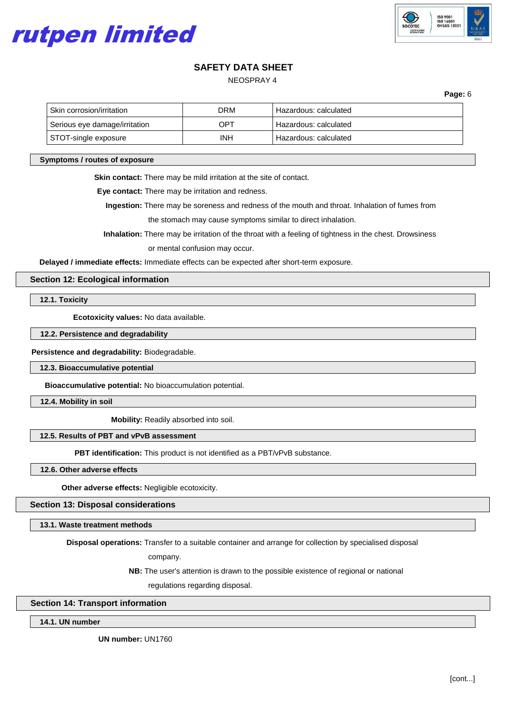



NEOSPRAY 4

**Page:** 6

| l Skin corrosion/irritation_  | DRM | Hazardous: calculated |
|-------------------------------|-----|-----------------------|
| Serious eye damage/irritation | OPT | Hazardous: calculated |
| STOT-single exposure          | INH | Hazardous: calculated |

#### **Symptoms / routes of exposure**

**Skin contact:** There may be mild irritation at the site of contact.

**Eye contact:** There may be irritation and redness.

**Ingestion:** There may be soreness and redness of the mouth and throat. Inhalation of fumes from the stomach may cause symptoms similar to direct inhalation.

**Inhalation:** There may be irritation of the throat with a feeling of tightness in the chest. Drowsiness

or mental confusion may occur.

**Delayed / immediate effects:** Immediate effects can be expected after short-term exposure.

## **Section 12: Ecological information**

**12.1. Toxicity**

**Ecotoxicity values:** No data available.

## **12.2. Persistence and degradability**

**Persistence and degradability:** Biodegradable.

**12.3. Bioaccumulative potential**

**Bioaccumulative potential:** No bioaccumulation potential.

**12.4. Mobility in soil**

**Mobility:** Readily absorbed into soil.

## **12.5. Results of PBT and vPvB assessment**

**PBT identification:** This product is not identified as a PBT/vPvB substance.

**12.6. Other adverse effects**

**Other adverse effects:** Negligible ecotoxicity.

## **Section 13: Disposal considerations**

**13.1. Waste treatment methods**

**Disposal operations:** Transfer to a suitable container and arrange for collection by specialised disposal

company.

**NB:** The user's attention is drawn to the possible existence of regional or national

regulations regarding disposal.

### **Section 14: Transport information**

**14.1. UN number**

**UN number:** UN1760